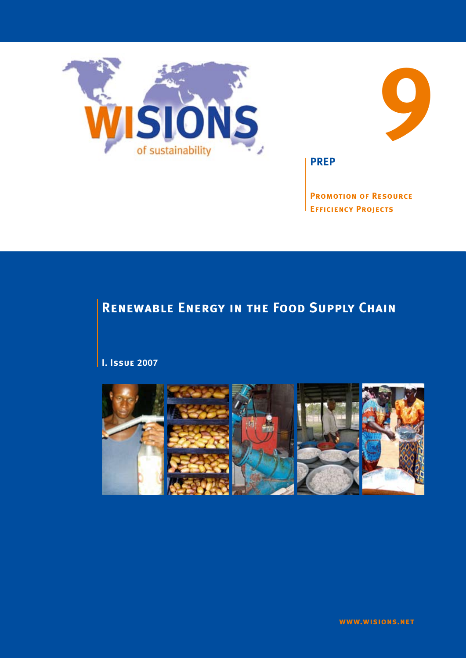



**PREP**

**Promotion of Resource Efficiency Projects**

# **Renewable Energy in the Food Supply Chain**

**I. Issue 2007**

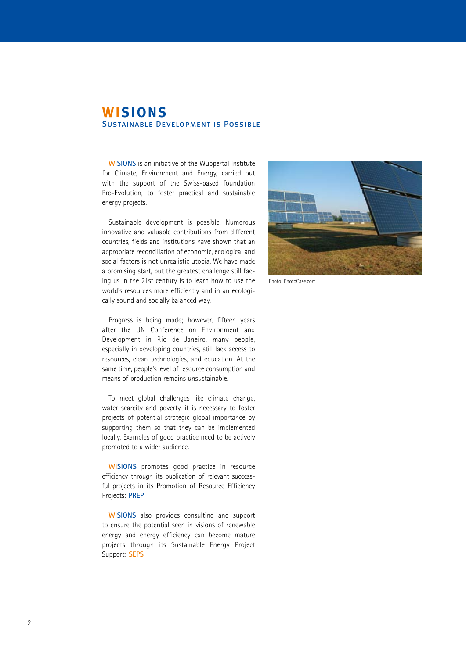## **WISIONS** Sustainable Development is Possible

**WISIONS** is an initiative of the Wuppertal Institute for Climate, Environment and Energy, carried out with the support of the Swiss-based foundation Pro-Evolution, to foster practical and sustainable energy projects.

Sustainable development is possible. Numerous innovative and valuable contributions from different countries, fields and institutions have shown that an appropriate reconciliation of economic, ecological and social factors is not unrealistic utopia. We have made a promising start, but the greatest challenge still facing us in the 21st century is to learn how to use the world's resources more efficiently and in an ecologically sound and socially balanced way.

Progress is being made; however, fifteen years after the UN Conference on Environment and Development in Rio de Janeiro, many people, especially in developing countries, still lack access to resources, clean technologies, and education. At the same time, people's level of resource consumption and means of production remains unsustainable.

To meet global challenges like climate change, water scarcity and poverty, it is necessary to foster projects of potential strategic global importance by supporting them so that they can be implemented locally. Examples of good practice need to be actively promoted to a wider audience.

**WISIONS** promotes good practice in resource efficiency through its publication of relevant successful projects in its Promotion of Resource Efficiency Projects: **PREP**

**WISIONS** also provides consulting and support to ensure the potential seen in visions of renewable energy and energy efficiency can become mature projects through its Sustainable Energy Project Support: **SEPS**



Photo: PhotoCase.com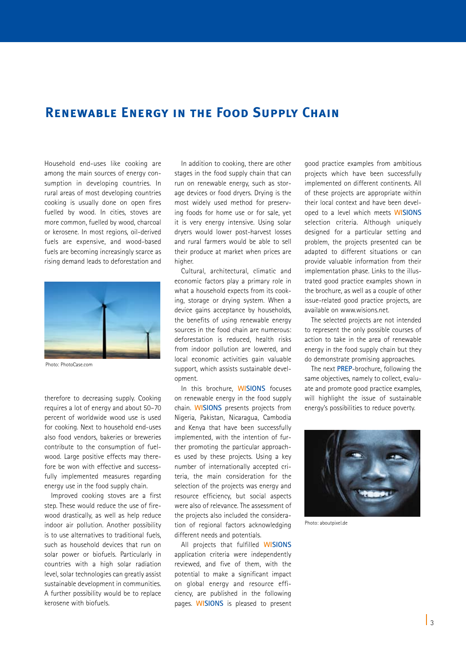## **Renewable Energy in the Food Supply Chain**

Household end-uses like cooking are among the main sources of energy consumption in developing countries. In rural areas of most developing countries cooking is usually done on open fires fuelled by wood. In cities, stoves are more common, fuelled by wood, charcoal or kerosene. In most regions, oil-derived fuels are expensive, and wood-based fuels are becoming increasingly scarce as rising demand leads to deforestation and



Photo: PhotoCase.com

therefore to decreasing supply. Cooking requires a lot of energy and about 50–70 percent of worldwide wood use is used for cooking. Next to household end-uses also food vendors, bakeries or breweries contribute to the consumption of fuelwood. Large positive effects may therefore be won with effective and successfully implemented measures regarding energy use in the food supply chain.

Improved cooking stoves are a first step. These would reduce the use of firewood drastically, as well as help reduce indoor air pollution. Another possibility is to use alternatives to traditional fuels, such as household devices that run on solar power or biofuels. Particularly in countries with a high solar radiation level, solar technologies can greatly assist sustainable development in communities. A further possibility would be to replace kerosene with biofuels.

In addition to cooking, there are other stages in the food supply chain that can run on renewable energy, such as storage devices or food dryers. Drying is the most widely used method for preserving foods for home use or for sale, yet it is very energy intensive. Using solar dryers would lower post-harvest losses and rural farmers would be able to sell their produce at market when prices are higher.

Cultural, architectural, climatic and economic factors play a primary role in what a household expects from its cooking, storage or drying system. When a device gains acceptance by households, the benefits of using renewable energy sources in the food chain are numerous: deforestation is reduced, health risks from indoor pollution are lowered, and local economic activities gain valuable support, which assists sustainable development.

In this brochure, **WISIONS** focuses on renewable energy in the food supply chain. **WISIONS** presents projects from Nigeria, Pakistan, Nicaragua, Cambodia and Kenya that have been successfully implemented, with the intention of further promoting the particular approaches used by these projects. Using a key number of internationally accepted criteria, the main consideration for the selection of the projects was energy and resource efficiency, but social aspects were also of relevance. The assessment of the projects also included the consideration of regional factors acknowledging different needs and potentials.

All projects that fulfilled **WISIONS** application criteria were independently reviewed, and five of them, with the potential to make a significant impact on global energy and resource efficiency, are published in the following pages. **WISIONS** is pleased to present good practice examples from ambitious projects which have been successfully implemented on different continents. All of these projects are appropriate within their local context and have been developed to a level which meets **WISIONS** selection criteria. Although uniquely designed for a particular setting and problem, the projects presented can be adapted to different situations or can provide valuable information from their implementation phase. Links to the illustrated good practice examples shown in the brochure, as well as a couple of other issue-related good practice projects, are available on www.wisions.net.

The selected projects are not intended to represent the only possible courses of action to take in the area of renewable energy in the food supply chain but they do demonstrate promising approaches.

The next **PREP**-brochure, following the same objectives, namely to collect, evaluate and promote good practice examples, will highlight the issue of sustainable energy's possibilities to reduce poverty.



Photo: aboutpixel.de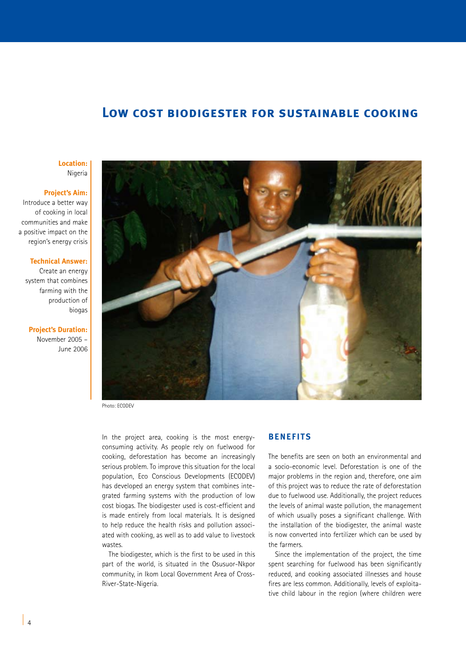## **Low cost biodigester for sustainable cooking**

**Location:**  Nigeria

#### **Project's Aim:**

Introduce a better way of cooking in local communities and make a positive impact on the region's energy crisis

### **Technical Answer:**

Create an energy system that combines farming with the production of biogas

**Project's Duration:** November 2005 – June 2006



Photo: ECODEV

In the project area, cooking is the most energyconsuming activity. As people rely on fuelwood for cooking, deforestation has become an increasingly serious problem. To improve this situation for the local population, Eco Conscious Developments (ECODEV) has developed an energy system that combines integrated farming systems with the production of low cost biogas. The biodigester used is cost-efficient and is made entirely from local materials. It is designed to help reduce the health risks and pollution associated with cooking, as well as to add value to livestock wastes.

The biodigester, which is the first to be used in this part of the world, is situated in the Osusuor-Nkpor community, in Ikom Local Government Area of Cross-River-State-Nigeria.

### **BENEFITS**

The benefits are seen on both an environmental and a socio-economic level. Deforestation is one of the major problems in the region and, therefore, one aim of this project was to reduce the rate of deforestation due to fuelwood use. Additionally, the project reduces the levels of animal waste pollution, the management of which usually poses a significant challenge. With the installation of the biodigester, the animal waste is now converted into fertilizer which can be used by the farmers.

Since the implementation of the project, the time spent searching for fuelwood has been significantly reduced, and cooking associated illnesses and house fires are less common. Additionally, levels of exploitative child labour in the region (where children were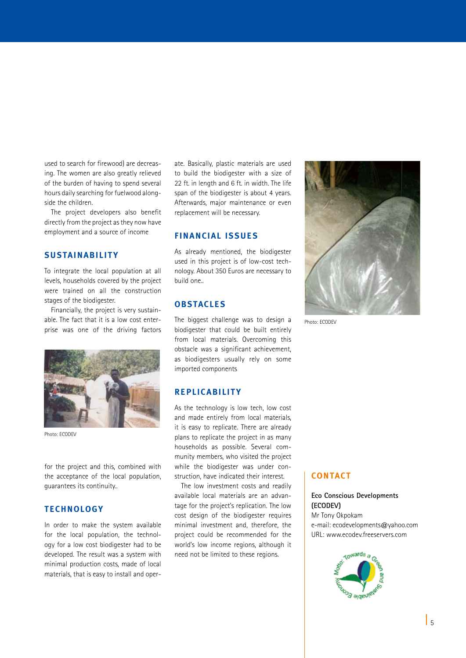used to search for firewood) are decreasing. The women are also greatly relieved of the burden of having to spend several hours daily searching for fuelwood alongside the children.

The project developers also benefit directly from the project as they now have employment and a source of income

## **SUSTAINABILITY**

To integrate the local population at all levels, households covered by the project were trained on all the construction stages of the biodigester.

Financially, the project is very sustainable. The fact that it is a low cost enterprise was one of the driving factors



Photo: ECODEV

for the project and this, combined with the acceptance of the local population, guarantees its continuity..

## **TECHNOLOGY**

In order to make the system available for the local population, the technology for a low cost biodigester had to be developed. The result was a system with minimal production costs, made of local materials, that is easy to install and operate. Basically, plastic materials are used to build the biodigester with a size of 22 ft. in length and 6 ft. in width. The life span of the biodigester is about 4 years. Afterwards, major maintenance or even replacement will be necessary.

## **FINANCIAL ISSUES**

As already mentioned, the biodigester used in this project is of low-cost technology. About 350 Euros are necessary to build one..

## **OBSTACLES**

The biggest challenge was to design a biodigester that could be built entirely from local materials. Overcoming this obstacle was a significant achievement, as biodigesters usually rely on some imported components

### **REPLICABILITY**

As the technology is low tech, low cost and made entirely from local materials, it is easy to replicate. There are already plans to replicate the project in as many households as possible. Several community members, who visited the project while the biodigester was under construction, have indicated their interest.

The low investment costs and readily available local materials are an advantage for the project's replication. The low cost design of the biodigester requires minimal investment and, therefore, the project could be recommended for the world's low income regions, although it need not be limited to these regions.



Photo: ECODEV

## **CONTACT**

### **Eco Conscious Developments (ECODEV)**

Mr Tony Okpokam e-mail: ecodevelopments@yahoo.com URL: www.ecodev.freeservers.com

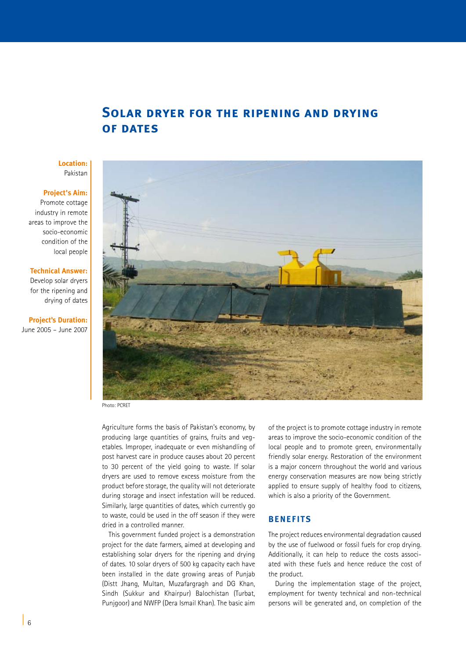## **Solar dryer for the ripening and drying of dates**

### **Location:** Pakistan

## **Project's Aim:**

Promote cottage industry in remote areas to improve the socio-economic condition of the local people

### **Technical Answer:**

Develop solar dryers for the ripening and drying of dates

### **Project's Duration:**  June 2005 – June 2007



Photo: PCRET

Agriculture forms the basis of Pakistan's economy, by producing large quantities of grains, fruits and vegetables. Improper, inadequate or even mishandling of post harvest care in produce causes about 20 percent to 30 percent of the yield going to waste. If solar dryers are used to remove excess moisture from the product before storage, the quality will not deteriorate during storage and insect infestation will be reduced. Similarly, large quantities of dates, which currently go to waste, could be used in the off season if they were dried in a controlled manner.

This government funded project is a demonstration project for the date farmers, aimed at developing and establishing solar dryers for the ripening and drying of dates. 10 solar dryers of 500 kg capacity each have been installed in the date growing areas of Punjab (Distt Jhang, Multan, Muzafargragh and DG Khan, Sindh (Sukkur and Khairpur) Balochistan (Turbat, Punjgoor) and NWFP (Dera Ismail Khan). The basic aim

of the project is to promote cottage industry in remote areas to improve the socio-economic condition of the local people and to promote green, environmentally friendly solar energy. Restoration of the environment is a major concern throughout the world and various energy conservation measures are now being strictly applied to ensure supply of healthy food to citizens, which is also a priority of the Government.

## **BENEFITS**

The project reduces environmental degradation caused by the use of fuelwood or fossil fuels for crop drying. Additionally, it can help to reduce the costs associated with these fuels and hence reduce the cost of the product.

During the implementation stage of the project, employment for twenty technical and non-technical persons will be generated and, on completion of the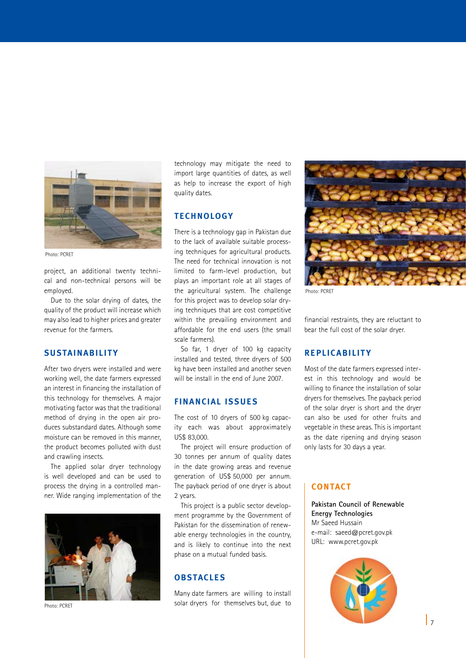

Photo: PCRET

project, an additional twenty technical and non-technical persons will be employed.

Due to the solar drying of dates, the quality of the product will increase which may also lead to higher prices and greater revenue for the farmers.

## **SUSTAINABILITY**

After two dryers were installed and were working well, the date farmers expressed an interest in financing the installation of this technology for themselves. A major motivating factor was that the traditional method of drying in the open air produces substandard dates. Although some moisture can be removed in this manner, the product becomes polluted with dust and crawling insects.

The applied solar dryer technology is well developed and can be used to process the drying in a controlled manner. Wide ranging implementation of the



Photo: PCRET

technology may mitigate the need to import large quantities of dates, as well as help to increase the export of high quality dates.

## **TECHNOLOGY**

There is a technology gap in Pakistan due to the lack of available suitable processing techniques for agricultural products. The need for technical innovation is not limited to farm-level production, but plays an important role at all stages of the agricultural system. The challenge for this project was to develop solar drying techniques that are cost competitive within the prevailing environment and affordable for the end users (the small scale farmers).

So far, 1 dryer of 100 kg capacity installed and tested, three dryers of 500 kg have been installed and another seven will be install in the end of June 2007.

## **FINANCIAL ISSUES**

The cost of 10 dryers of 500 kg capacity each was about approximately US\$ 83,000.

The project will ensure production of 30 tonnes per annum of quality dates in the date growing areas and revenue generation of US\$ 50,000 per annum. The payback period of one dryer is about 2 years.

This project is a public sector development programme by the Government of Pakistan for the dissemination of renewable energy technologies in the country, and is likely to continue into the next phase on a mutual funded basis.

## **OBSTACLES**

Many date farmers are willing to install solar dryers for themselves but, due to



Photo: PCRET

financial restraints, they are reluctant to bear the full cost of the solar dryer.

### **REPLICABILITY**

Most of the date farmers expressed interest in this technology and would be willing to finance the installation of solar dryers for themselves. The payback period of the solar dryer is short and the dryer can also be used for other fruits and vegetable in these areas. This is important as the date ripening and drying season only lasts for 30 days a year.

## **CONTACT**

**Pakistan Council of Renewable Energy Technologies** Mr Saeed Hussain e-mail: saeed@pcret.gov.pk URL: www.pcret.gov.pk

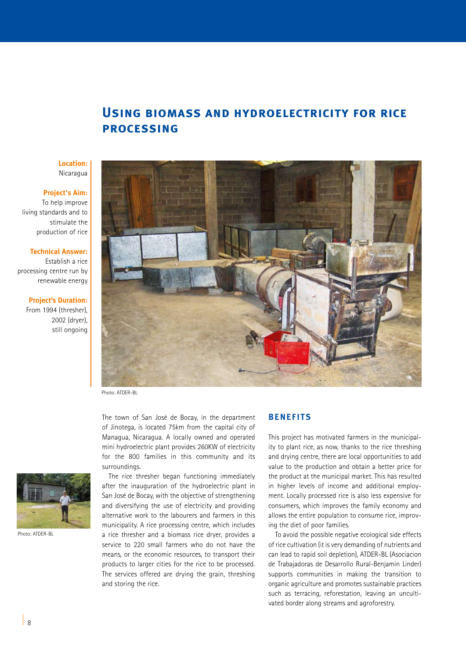## **Using biomass and hydroelectricity for rice processing**

### **Location:** Nicaragua

### **Project's Aim:**

To help improve living standards and to stimulate the production of rice

### **Technical Answer:**

Establish a rice processing centre run by renewable energy

#### **Project's Duration:**

From 1994 (thresher), 2002 (dryer), still ongoing



Photo: ATDER-BL

The town of San José de Bocay, in the department of Jinotega, is located 75km from the capital city of Managua, Nicaragua. A locally owned and operated mini hydroelectric plant provides 260KW of electricity for the 800 families in this community and its surroundings.



Photo: ATDER-BL

The rice thresher began functioning immediately after the inauguration of the hydroelectric plant in San José de Bocay, with the objective of strengthening and diversifying the use of electricity and providing alternative work to the labourers and farmers in this municipality. A rice processing centre, which includes a rice thresher and a biomass rice dryer, provides a service to 220 small farmers who do not have the means, or the economic resources, to transport their products to larger cities for the rice to be processed. The services offered are drying the grain, threshing and storing the rice.

## **BENEFITS**

This project has motivated farmers in the municipality to plant rice, as now, thanks to the rice threshing and drying centre, there are local opportunities to add value to the production and obtain a better price for the product at the municipal market. This has resulted in higher levels of income and additional employment. Locally processed rice is also less expensive for consumers, which improves the family economy and allows the entire population to consume rice, improving the diet of poor families.

To avoid the possible negative ecological side effects of rice cultivation (it is very demanding of nutrients and can lead to rapid soil depletion), ATDER-BL (Asociacion de Trabajadoras de Desarrollo Rural-Benjamin Linder) supports communities in making the transition to organic agriculture and promotes sustainable practices such as terracing, reforestation, leaving an uncultivated border along streams and agroforestry.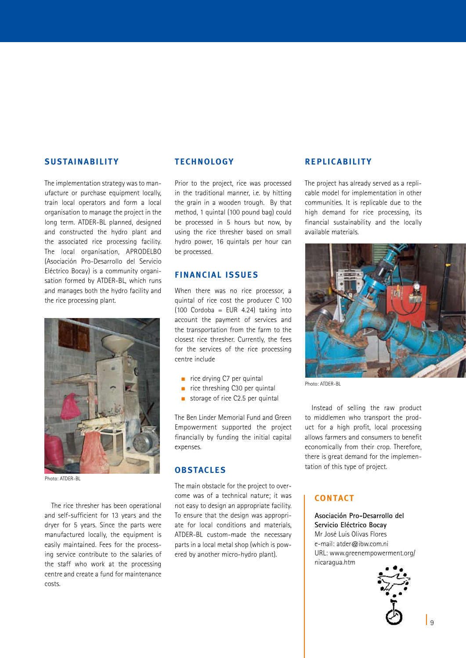### **SUSTAINABILITY**

The implementation strategy was to manufacture or purchase equipment locally, train local operators and form a local organisation to manage the project in the long term. ATDER-BL planned, designed and constructed the hydro plant and the associated rice processing facility. The local organisation, APRODELBO (Asociación Pro-Desarrollo del Servicio Eléctrico Bocay) is a community organisation formed by ATDER-BL, which runs and manages both the hydro facility and the rice processing plant.



Photo: ATDER-BL

The rice thresher has been operational and self-sufficient for 13 years and the dryer for 5 years. Since the parts were manufactured locally, the equipment is easily maintained. Fees for the processing service contribute to the salaries of the staff who work at the processing centre and create a fund for maintenance costs.

### **TECHNOLOGY**

Prior to the project, rice was processed in the traditional manner, i.e. by hitting the grain in a wooden trough. By that method, 1 quintal (100 pound bag) could be processed in 5 hours but now, by using the rice thresher based on small hydro power, 16 quintals per hour can be processed.

## **FINANCIAL ISSUES**

When there was no rice processor, a quintal of rice cost the producer C 100  $(100$  Cordoba = EUR 4.24) taking into account the payment of services and the transportation from the farm to the closest rice thresher. Currently, the fees for the services of the rice processing centre include

- $n$  rice drying C7 per quintal
- $\blacksquare$  rice threshing C30 per quintal
- storage of rice  $C2.5$  per quintal

The Ben Linder Memorial Fund and Green Empowerment supported the project financially by funding the initial capital expenses.

## **OBSTACLES**

The main obstacle for the project to overcome was of a technical nature; it was not easy to design an appropriate facility. To ensure that the design was appropriate for local conditions and materials, ATDER-BL custom-made the necessary parts in a local metal shop (which is powered by another micro-hydro plant).

### **REPLICABILITY**

The project has already served as a replicable model for implementation in other communities. It is replicable due to the high demand for rice processing, its financial sustainability and the locally available materials.



Photo: ATDER-BL

Instead of selling the raw product to middlemen who transport the product for a high profit, local processing allows farmers and consumers to benefit economically from their crop. Therefore, there is great demand for the implementation of this type of project.

## **CONTACT**

**Asociación Pro-Desarrollo del Servicio Eléctrico Bocay** Mr José Luis Olivas Flores e-mail: atder@ibw.com.ni URL: www.greenempowerment.org/ nicaragua.htm

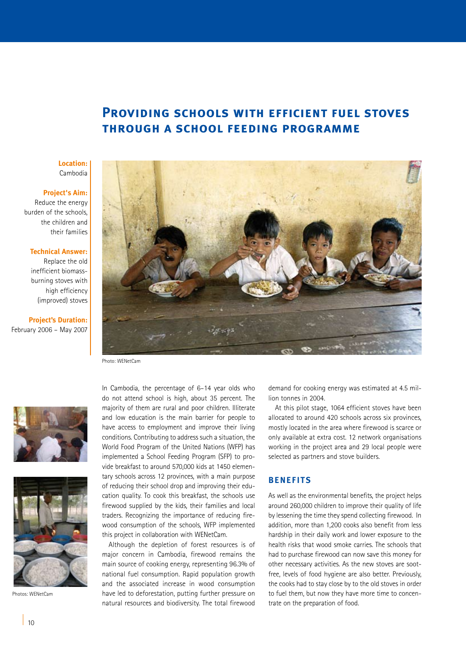## **Providing schools with efficient fuel stoves through a school feeding programme**

### **Location:** Cambodia

### **Project's Aim:**

Reduce the energy burden of the schools, the children and their families

#### **Technical Answer:**

Replace the old inefficient biomassburning stoves with high efficiency (improved) stoves

**Project's Duration:**  February 2006 – May 2007



Photo: WENetCam





Photos: WENetCam

In Cambodia, the percentage of 6–14 year olds who do not attend school is high, about 35 percent. The majority of them are rural and poor children. Illiterate and low education is the main barrier for people to have access to employment and improve their living conditions. Contributing to address such a situation, the World Food Program of the United Nations (WFP) has implemented a School Feeding Program (SFP) to provide breakfast to around 570,000 kids at 1450 elementary schools across 12 provinces, with a main purpose of reducing their school drop and improving their education quality. To cook this breakfast, the schools use firewood supplied by the kids, their families and local traders. Recognizing the importance of reducing firewood consumption of the schools, WFP implemented this project in collaboration with WENetCam.

Although the depletion of forest resources is of major concern in Cambodia, firewood remains the main source of cooking energy, representing 96.3% of national fuel consumption. Rapid population growth and the associated increase in wood consumption have led to deforestation, putting further pressure on natural resources and biodiversity. The total firewood

demand for cooking energy was estimated at 4.5 million tonnes in 2004.

At this pilot stage, 1064 efficient stoves have been allocated to around 420 schools across six provinces, mostly located in the area where firewood is scarce or only available at extra cost. 12 network organisations working in the project area and 29 local people were selected as partners and stove builders.

## **BENEFITS**

As well as the environmental benefits, the project helps around 260,000 children to improve their quality of life by lessening the time they spend collecting firewood. In addition, more than 1,200 cooks also benefit from less hardship in their daily work and lower exposure to the health risks that wood smoke carries. The schools that had to purchase firewood can now save this money for other necessary activities. As the new stoves are sootfree, levels of food hygiene are also better. Previously, the cooks had to stay close by to the old stoves in order to fuel them, but now they have more time to concentrate on the preparation of food.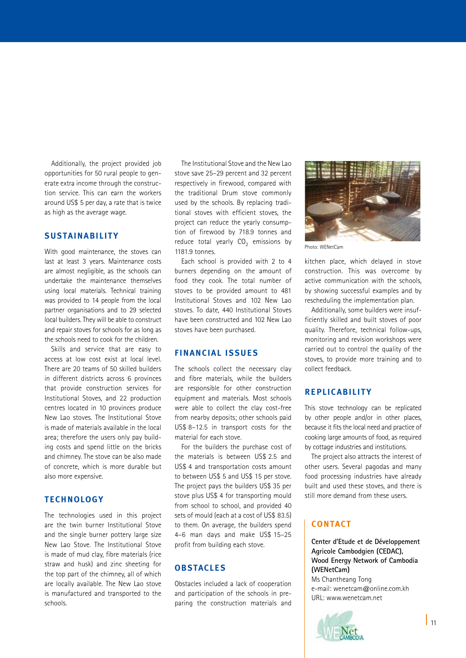Additionally, the project provided job opportunities for 50 rural people to generate extra income through the construction service. This can earn the workers around US\$ 5 per day, a rate that is twice as high as the average wage.

## **SUSTAINABILITY**

With good maintenance, the stoves can last at least 3 years. Maintenance costs are almost negligible, as the schools can undertake the maintenance themselves using local materials. Technical training was provided to 14 people from the local partner organisations and to 29 selected local builders. They will be able to construct and repair stoves for schools for as long as the schools need to cook for the children.

Skills and service that are easy to access at low cost exist at local level. There are 20 teams of 50 skilled builders in different districts across 6 provinces that provide construction services for Institutional Stoves, and 22 production centres located in 10 provinces produce New Lao stoves. The Institutional Stove is made of materials available in the local area; therefore the users only pay building costs and spend little on the bricks and chimney. The stove can be also made of concrete, which is more durable but also more expensive.

## **TECHNOLOGY**

The technologies used in this project are the twin burner Institutional Stove and the single burner pottery large size New Lao Stove. The Institutional Stove is made of mud clay, fibre materials (rice straw and husk) and zinc sheeting for the top part of the chimney, all of which are locally available. The New Lao stove is manufactured and transported to the schools.

The Institutional Stove and the New Lao stove save 25–29 percent and 32 percent respectively in firewood, compared with the traditional Drum stove commonly used by the schools. By replacing traditional stoves with efficient stoves, the project can reduce the yearly consumption of firewood by 718.9 tonnes and reduce total yearly  $CO<sub>2</sub>$  emissions by 1181.9 tonnes.

Each school is provided with 2 to 4 burners depending on the amount of food they cook. The total number of stoves to be provided amount to 481 Institutional Stoves and 102 New Lao stoves. To date, 440 Institutional Stoves have been constructed and 102 New Lao stoves have been purchased.

## **FINANCIAL ISSUES**

The schools collect the necessary clay and fibre materials, while the builders are responsible for other construction equipment and materials. Most schools were able to collect the clay cost-free from nearby deposits; other schools paid US\$ 8–12.5 in transport costs for the material for each stove.

For the builders the purchase cost of the materials is between US\$ 2.5 and US\$ 4 and transportation costs amount to between US\$ 5 and US\$ 15 per stove. The project pays the builders US\$ 35 per stove plus US\$ 4 for transporting mould from school to school, and provided 40 sets of mould (each at a cost of US\$ 83.5) to them. On average, the builders spend 4–6 man days and make US\$ 15–25 profit from building each stove.

## **OBSTACLES**

Obstacles included a lack of cooperation and participation of the schools in preparing the construction materials and



Photo: WENetCam

kitchen place, which delayed in stove construction. This was overcome by active communication with the schools, by showing successful examples and by rescheduling the implementation plan.

Additionally, some builders were insufficiently skilled and built stoves of poor quality. Therefore, technical follow-ups, monitoring and revision workshops were carried out to control the quality of the stoves, to provide more training and to collect feedback.

## **REPLICABILITY**

This stove technology can be replicated by other people and/or in other places, because it fits the local need and practice of cooking large amounts of food, as required by cottage industries and institutions.

The project also attracts the interest of other users. Several pagodas and many food processing industries have already built and used these stoves, and there is still more demand from these users.

## **CONTACT**

**Center d'Etude et de Développement Agricole Cambodgien (CEDAC), Wood Energy Network of Cambodia (WENetCam)** Ms Chantheang Tong e-mail: wenetcam@online.com.kh



URL: www.wenetcam.net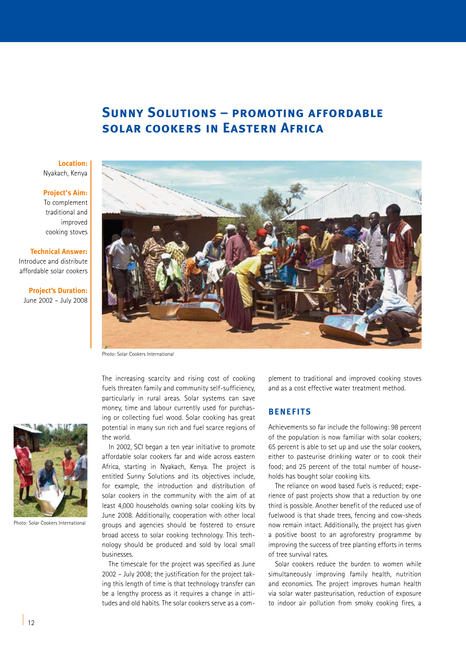## **Sunny Solutions – promoting affordable solar cookers in Eastern Africa**

### **Location:** Nyakach, Kenya

### **Project's Aim:**

To complement traditional and improved cooking stoves

### **Technical Answer:**

Introduce and distribute affordable solar cookers

**Project's Duration:**  June 2002 – July 2008



Photo: Solar Cookers International

The increasing scarcity and rising cost of cooking fuels threaten family and community self-sufficiency, particularly in rural areas. Solar systems can save money, time and labour currently used for purchasing or collecting fuel wood. Solar cooking has great potential in many sun rich and fuel scarce regions of the world.

In 2002, SCI began a ten year initiative to promote affordable solar cookers far and wide across eastern Africa, starting in Nyakach, Kenya. The project is entitled Sunny Solutions and its objectives include, for example, the introduction and distribution of solar cookers in the community with the aim of at least 4,000 households owning solar cooking kits by June 2008. Additionally, cooperation with other local groups and agencies should be fostered to ensure broad access to solar cooking technology. This technology should be produced and sold by local small businesses.

The timescale for the project was specified as June 2002 – July 2008; the justification for the project taking this length of time is that technology transfer can be a lengthy process as it requires a change in attitudes and old habits. The solar cookers serve as a com-

plement to traditional and improved cooking stoves and as a cost effective water treatment method.

## **BENEFITS**

Achievements so far include the following: 98 percent of the population is now familiar with solar cookers; 65 percent is able to set up and use the solar cookers, either to pasteurise drinking water or to cook their food; and 25 percent of the total number of households has bought solar cooking kits.

The reliance on wood based fuels is reduced; experience of past projects show that a reduction by one third is possible. Another benefit of the reduced use of fuelwood is that shade trees, fencing and cow-sheds now remain intact. Additionally, the project has given a positive boost to an agroforestry programme by improving the success of tree planting efforts in terms of tree survival rates.

Solar cookers reduce the burden to women while simultaneously improving family health, nutrition and economics. The project improves human health via solar water pasteurisation, reduction of exposure to indoor air pollution from smoky cooking fires, a



Photo: Solar Cookers International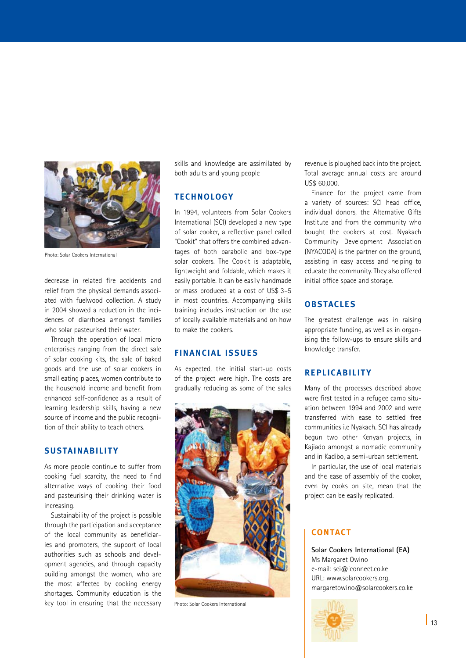

Photo: Solar Cookers International

decrease in related fire accidents and relief from the physical demands associated with fuelwood collection. A study in 2004 showed a reduction in the incidences of diarrhoea amongst families who solar pasteurised their water.

Through the operation of local micro enterprises ranging from the direct sale of solar cooking kits, the sale of baked goods and the use of solar cookers in small eating places, women contribute to the household income and benefit from enhanced self-confidence as a result of learning leadership skills, having a new source of income and the public recognition of their ability to teach others.

## **SUSTAINABILITY**

As more people continue to suffer from cooking fuel scarcity, the need to find alternative ways of cooking their food and pasteurising their drinking water is increasing.

Sustainability of the project is possible through the participation and acceptance of the local community as beneficiaries and promoters, the support of local authorities such as schools and development agencies, and through capacity building amongst the women, who are the most affected by cooking energy shortages. Community education is the key tool in ensuring that the necessary skills and knowledge are assimilated by both adults and young people

## **TECHNOLOGY**

In 1994, volunteers from Solar Cookers International (SCI) developed a new type of solar cooker, a reflective panel called "Cookit" that offers the combined advantages of both parabolic and box-type solar cookers. The Cookit is adaptable, lightweight and foldable, which makes it easily portable. It can be easily handmade or mass produced at a cost of US\$ 3–5 in most countries. Accompanying skills training includes instruction on the use of locally available materials and on how to make the cookers.

### **FINANCIAL ISSUES**

As expected, the initial start-up costs of the project were high. The costs are gradually reducing as some of the sales



Photo: Solar Cookers International

revenue is ploughed back into the project. Total average annual costs are around US\$ 60,000.

Finance for the project came from a variety of sources: SCI head office, individual donors, the Alternative Gifts Institute and from the community who bought the cookers at cost. Nyakach Community Development Association (NYACODA) is the partner on the ground, assisting in easy access and helping to educate the community. They also offered initial office space and storage.

## **OBSTACLES**

The greatest challenge was in raising appropriate funding, as well as in organising the follow-ups to ensure skills and knowledge transfer.

## **REPLICABILITY**

Many of the processes described above were first tested in a refugee camp situation between 1994 and 2002 and were transferred with ease to settled free communities i.e Nyakach. SCI has already begun two other Kenyan projects, in Kajiado amongst a nomadic community and in Kadibo, a semi-urban settlement.

In particular, the use of local materials and the ease of assembly of the cooker, even by cooks on site, mean that the project can be easily replicated.

## **CONTACT**

**Solar Cookers International (EA)** Ms Margaret Owino e-mail: sci@iconnect.co.ke URL: www.solarcookers.org, margaretowino@solarcookers.co.ke

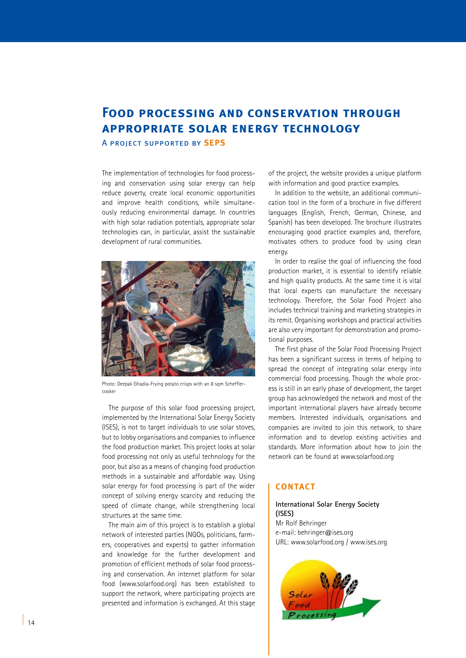# **Food processing and conservation through appropriate solar energy technology**

A project supported by **SEPS**

The implementation of technologies for food processing and conservation using solar energy can help reduce poverty, create local economic opportunities and improve health conditions, while simultaneously reducing environmental damage. In countries with high solar radiation potentials, appropriate solar technologies can, in particular, assist the sustainable development of rural communities.



Photo: Deepak Ghadia-Frying potato crisps with an 8 sqm Schefflercooker

The purpose of this solar food processing project, implemented by the International Solar Energy Society (ISES), is not to target individuals to use solar stoves, but to lobby organisations and companies to influence the food production market. This project looks at solar food processing not only as useful technology for the poor, but also as a means of changing food production methods in a sustainable and affordable way. Using solar energy for food processing is part of the wider concept of solving energy scarcity and reducing the speed of climate change, while strengthening local structures at the same time.

The main aim of this project is to establish a global network of interested parties (NGOs, politicians, farmers, cooperatives and experts) to gather information and knowledge for the further development and promotion of efficient methods of solar food processing and conservation. An internet platform for solar food (www.solarfood.org) has been established to support the network, where participating projects are presented and information is exchanged. At this stage

of the project, the website provides a unique platform with information and good practice examples.

In addition to the website, an additional communication tool in the form of a brochure in five different languages (English, French, German, Chinese, and Spanish) has been developed. The brochure illustrates encouraging good practice examples and, therefore, motivates others to produce food by using clean energy.

In order to realise the goal of influencing the food production market, it is essential to identify reliable and high quality products. At the same time it is vital that local experts can manufacture the necessary technology. Therefore, the Solar Food Project also includes technical training and marketing strategies in its remit. Organising workshops and practical activities are also very important for demonstration and promotional purposes.

The first phase of the Solar Food Processing Project has been a significant success in terms of helping to spread the concept of integrating solar energy into commercial food processing. Though the whole process is still in an early phase of development, the target group has acknowledged the network and most of the important international players have already become members. Interested individuals, organisations and companies are invited to join this network, to share information and to develop existing activities and standards. More information about how to join the network can be found at www.solarfood.org

## **CONTACT**

### **International Solar Energy Society (ISES)** Mr Rolf Behringer e-mail: behringer@ises.org URL: www.solarfood.org / www.ises.org

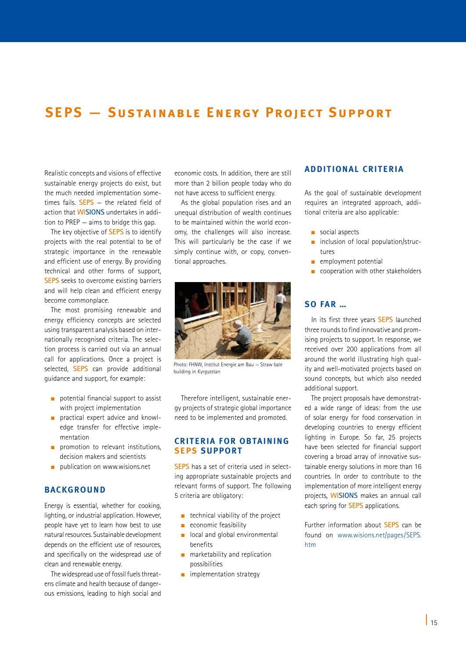# **SEPS — Sustainable Energy Project Support**

Realistic concepts and visions of effective sustainable energy projects do exist, but the much needed implementation sometimes fails. **SEPS** — the related field of action that **WISIONS** undertakes in addition to PREP — aims to bridge this gap.

The key objective of **SEPS** is to identify projects with the real potential to be of strategic importance in the renewable and efficient use of energy. By providing technical and other forms of support, **SEPS** seeks to overcome existing barriers and will help clean and efficient energy become commonplace.

The most promising renewable and energy efficiency concepts are selected using transparent analysis based on internationally recognised criteria. The selection process is carried out via an annual call for applications. Once a project is selected, **SEPS** can provide additional guidance and support, for example:

- $\Box$  potential financial support to assist with project implementation
- n practical expert advice and knowledge transfer for effective implementation
- $\Box$  promotion to relevant institutions, decision makers and scientists
- publication on www.wisions.net

## **BACKGROUND**

Energy is essential, whether for cooking, lighting, or industrial application. However, people have yet to learn how best to use natural resources. Sustainable development depends on the efficient use of resources, and specifically on the widespread use of clean and renewable energy.

The widespread use of fossil fuels threatens climate and health because of dangerous emissions, leading to high social and

economic costs. In addition, there are still more than 2 billion people today who do not have access to sufficient energy.

As the global population rises and an unequal distribution of wealth continues to be maintained within the world economy, the challenges will also increase. This will particularly be the case if we simply continue with, or copy, conventional approaches.



Photo: FHNW, Institut Energie am Bau — Straw bale building in Kyrgyzstan

Therefore intelligent, sustainable energy projects of strategic global importance need to be implemented and promoted.

### **Criteria for obtaining SEPS support**

**SEPS** has a set of criteria used in selecting appropriate sustainable projects and relevant forms of support. The following 5 criteria are obligatory:

- $\blacksquare$  technical viability of the project
- $\blacksquare$  economic feasibility
- n local and global environmental benefits
- $\blacksquare$  marketability and replication possibilities
- $\blacksquare$  implementation strategy

### **Additional Criteria**

As the goal of sustainable development requires an integrated approach, additional criteria are also applicable:

- $\blacksquare$  social aspects
- $\blacksquare$  inclusion of local population/structures
- $\blacksquare$  employment potential
- n cooperation with other stakeholders

## **So far …**

In its first three years **SEPS** launched three rounds to find innovative and promising projects to support. In response, we received over 200 applications from all around the world illustrating high quality and well-motivated projects based on sound concepts, but which also needed additional support.

The project proposals have demonstrated a wide range of ideas: from the use of solar energy for food conservation in developing countries to energy efficient lighting in Europe. So far, 25 projects have been selected for financial support covering a broad array of innovative sustainable energy solutions in more than 16 countries. In order to contribute to the implementation of more intelligent energy projects, **WISIONS** makes an annual call each spring for **SEPS** applications.

Further information about **SEPS** can be found on www.wisions.net/pages/SEPS. htm